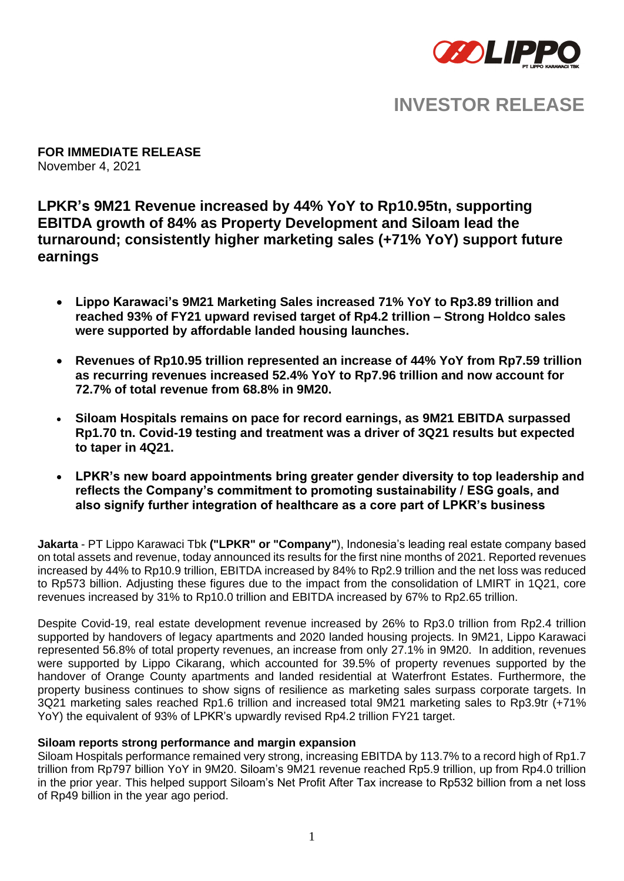

# **INVESTOR RELEASE**

**FOR IMMEDIATE RELEASE** November 4, 2021

# **LPKR's 9M21 Revenue increased by 44% YoY to Rp10.95tn, supporting EBITDA growth of 84% as Property Development and Siloam lead the turnaround; consistently higher marketing sales (+71% YoY) support future earnings**

- **Lippo Karawaci's 9M21 Marketing Sales increased 71% YoY to Rp3.89 trillion and reached 93% of FY21 upward revised target of Rp4.2 trillion – Strong Holdco sales were supported by affordable landed housing launches.**
- **Revenues of Rp10.95 trillion represented an increase of 44% YoY from Rp7.59 trillion as recurring revenues increased 52.4% YoY to Rp7.96 trillion and now account for 72.7% of total revenue from 68.8% in 9M20.**
- **Siloam Hospitals remains on pace for record earnings, as 9M21 EBITDA surpassed Rp1.70 tn. Covid-19 testing and treatment was a driver of 3Q21 results but expected to taper in 4Q21.**
- **LPKR's new board appointments bring greater gender diversity to top leadership and reflects the Company's commitment to promoting sustainability / ESG goals, and also signify further integration of healthcare as a core part of LPKR's business**

**Jakarta** - PT Lippo Karawaci Tbk **("LPKR" or "Company"**), Indonesia's leading real estate company based on total assets and revenue, today announced its results for the first nine months of 2021. Reported revenues increased by 44% to Rp10.9 trillion, EBITDA increased by 84% to Rp2.9 trillion and the net loss was reduced to Rp573 billion. Adjusting these figures due to the impact from the consolidation of LMIRT in 1Q21, core revenues increased by 31% to Rp10.0 trillion and EBITDA increased by 67% to Rp2.65 trillion.

Despite Covid-19, real estate development revenue increased by 26% to Rp3.0 trillion from Rp2.4 trillion supported by handovers of legacy apartments and 2020 landed housing projects. In 9M21, Lippo Karawaci represented 56.8% of total property revenues, an increase from only 27.1% in 9M20. In addition, revenues were supported by Lippo Cikarang, which accounted for 39.5% of property revenues supported by the handover of Orange County apartments and landed residential at Waterfront Estates. Furthermore, the property business continues to show signs of resilience as marketing sales surpass corporate targets. In 3Q21 marketing sales reached Rp1.6 trillion and increased total 9M21 marketing sales to Rp3.9tr (+71% YoY) the equivalent of 93% of LPKR's upwardly revised Rp4.2 trillion FY21 target.

# **Siloam reports strong performance and margin expansion**

Siloam Hospitals performance remained very strong, increasing EBITDA by 113.7% to a record high of Rp1.7 trillion from Rp797 billion YoY in 9M20. Siloam's 9M21 revenue reached Rp5.9 trillion, up from Rp4.0 trillion in the prior year. This helped support Siloam's Net Profit After Tax increase to Rp532 billion from a net loss of Rp49 billion in the year ago period.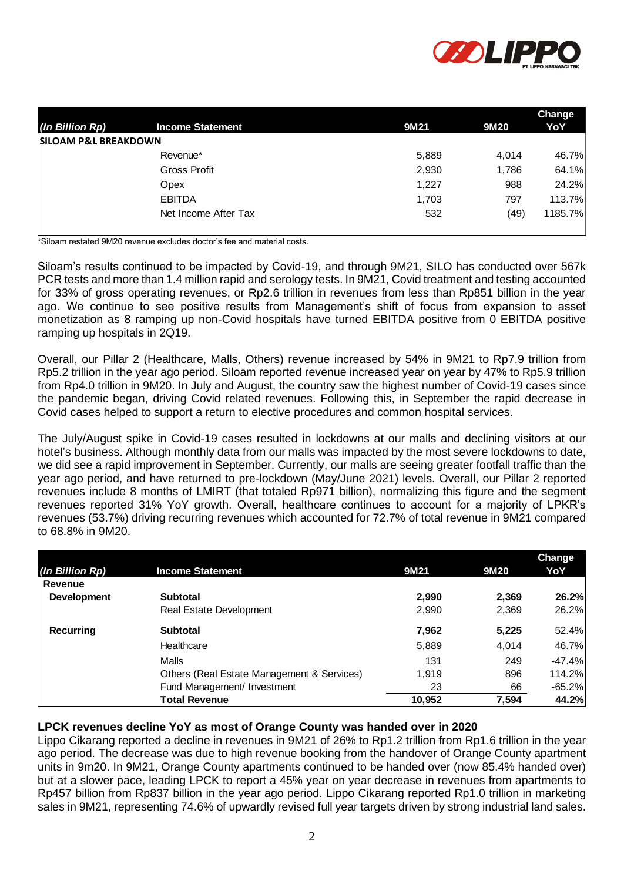

|                                  |       |       | Change  |  |
|----------------------------------|-------|-------|---------|--|
| <b>Income Statement</b>          | 9M21  | 9M20  | YoY     |  |
| <b>ISILOAM P&amp;L BREAKDOWN</b> |       |       |         |  |
| Revenue*                         | 5,889 | 4.014 | 46.7%   |  |
| <b>Gross Profit</b>              | 2,930 | 1,786 | 64.1%   |  |
| Opex                             | 1,227 | 988   | 24.2%   |  |
| <b>EBITDA</b>                    | 1,703 | 797   | 113.7%  |  |
| Net Income After Tax             | 532   | (49)  | 1185.7% |  |
|                                  |       |       |         |  |

\*Siloam restated 9M20 revenue excludes doctor's fee and material costs.

Siloam's results continued to be impacted by Covid-19, and through 9M21, SILO has conducted over 567k PCR tests and more than 1.4 million rapid and serology tests. In 9M21, Covid treatment and testing accounted for 33% of gross operating revenues, or Rp2.6 trillion in revenues from less than Rp851 billion in the year ago. We continue to see positive results from Management's shift of focus from expansion to asset monetization as 8 ramping up non-Covid hospitals have turned EBITDA positive from 0 EBITDA positive ramping up hospitals in 2Q19.

Overall, our Pillar 2 (Healthcare, Malls, Others) revenue increased by 54% in 9M21 to Rp7.9 trillion from Rp5.2 trillion in the year ago period. Siloam reported revenue increased year on year by 47% to Rp5.9 trillion from Rp4.0 trillion in 9M20. In July and August, the country saw the highest number of Covid-19 cases since the pandemic began, driving Covid related revenues. Following this, in September the rapid decrease in Covid cases helped to support a return to elective procedures and common hospital services.

The July/August spike in Covid-19 cases resulted in lockdowns at our malls and declining visitors at our hotel's business. Although monthly data from our malls was impacted by the most severe lockdowns to date, we did see a rapid improvement in September. Currently, our malls are seeing greater footfall traffic than the year ago period, and have returned to pre-lockdown (May/June 2021) levels. Overall, our Pillar 2 reported revenues include 8 months of LMIRT (that totaled Rp971 billion), normalizing this figure and the segment revenues reported 31% YoY growth. Overall, healthcare continues to account for a majority of LPKR's revenues (53.7%) driving recurring revenues which accounted for 72.7% of total revenue in 9M21 compared to 68.8% in 9M20.

|                    |                                            |        |       | <b>Change</b> |
|--------------------|--------------------------------------------|--------|-------|---------------|
| (In Billion Rp)    | <b>Income Statement</b>                    | 9M21   | 9M20  | YoY           |
| Revenue            |                                            |        |       |               |
| <b>Development</b> | <b>Subtotal</b>                            | 2.990  | 2,369 | 26.2%         |
|                    | Real Estate Development                    | 2,990  | 2,369 | 26.2%         |
| Recurring          | <b>Subtotal</b>                            | 7,962  | 5,225 | 52.4%         |
|                    | Healthcare                                 | 5,889  | 4,014 | 46.7%         |
|                    | Malls                                      | 131    | 249   | $-47.4%$      |
|                    | Others (Real Estate Management & Services) | 1,919  | 896   | 114.2%        |
|                    | Fund Management/ Investment                | 23     | 66    | $-65.2%$      |
|                    | <b>Total Revenue</b>                       | 10,952 | 7,594 | 44.2%         |

# **LPCK revenues decline YoY as most of Orange County was handed over in 2020**

Lippo Cikarang reported a decline in revenues in 9M21 of 26% to Rp1.2 trillion from Rp1.6 trillion in the year ago period. The decrease was due to high revenue booking from the handover of Orange County apartment units in 9m20. In 9M21, Orange County apartments continued to be handed over (now 85.4% handed over) but at a slower pace, leading LPCK to report a 45% year on year decrease in revenues from apartments to Rp457 billion from Rp837 billion in the year ago period. Lippo Cikarang reported Rp1.0 trillion in marketing sales in 9M21, representing 74.6% of upwardly revised full year targets driven by strong industrial land sales.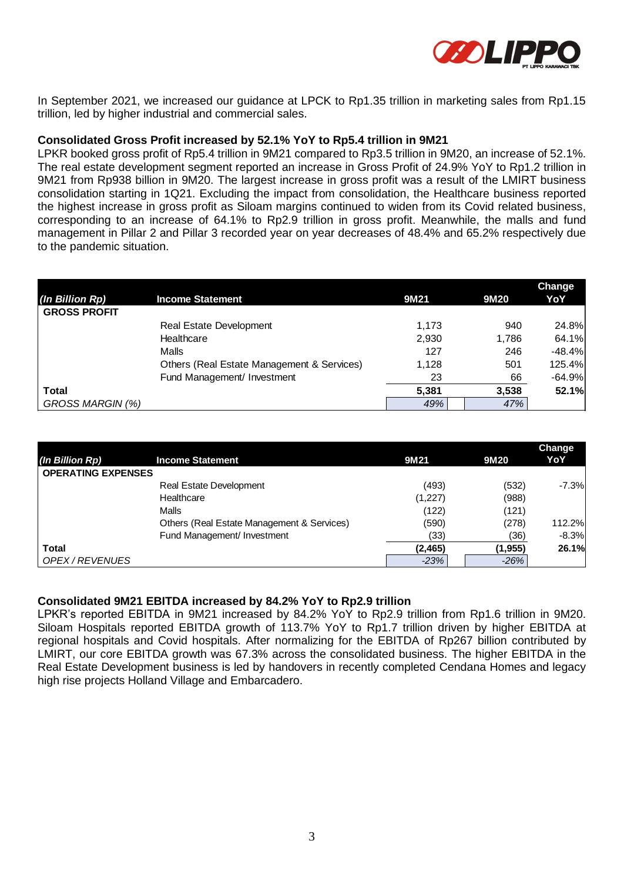

In September 2021, we increased our guidance at LPCK to Rp1.35 trillion in marketing sales from Rp1.15 trillion, led by higher industrial and commercial sales.

#### **Consolidated Gross Profit increased by 52.1% YoY to Rp5.4 trillion in 9M21**

LPKR booked gross profit of Rp5.4 trillion in 9M21 compared to Rp3.5 trillion in 9M20, an increase of 52.1%. The real estate development segment reported an increase in Gross Profit of 24.9% YoY to Rp1.2 trillion in 9M21 from Rp938 billion in 9M20. The largest increase in gross profit was a result of the LMIRT business consolidation starting in 1Q21. Excluding the impact from consolidation, the Healthcare business reported the highest increase in gross profit as Siloam margins continued to widen from its Covid related business, corresponding to an increase of 64.1% to Rp2.9 trillion in gross profit. Meanwhile, the malls and fund management in Pillar 2 and Pillar 3 recorded year on year decreases of 48.4% and 65.2% respectively due to the pandemic situation.

|                     |                                            |       |       | Change   |
|---------------------|--------------------------------------------|-------|-------|----------|
| (In Billion Rp)     | <b>Income Statement</b>                    | 9M21  | 9M20  | YoY      |
| <b>GROSS PROFIT</b> |                                            |       |       |          |
|                     | <b>Real Estate Development</b>             | 1.173 | 940   | 24.8%    |
|                     | Healthcare                                 | 2,930 | 1,786 | 64.1%    |
|                     | Malls                                      | 127   | 246   | $-48.4%$ |
|                     | Others (Real Estate Management & Services) | 1,128 | 501   | 125.4%   |
|                     | Fund Management/ Investment                | 23    | 66    | $-64.9%$ |
| <b>Total</b>        |                                            | 5.381 | 3,538 | 52.1%    |
| GROSS MARGIN (%)    |                                            | 49%   | 47%   |          |

| (In Billion Rp)           | <b>Income Statement</b>                    | 9M21     | 9M20     | Change<br>YoY |
|---------------------------|--------------------------------------------|----------|----------|---------------|
| <b>OPERATING EXPENSES</b> |                                            |          |          |               |
|                           | Real Estate Development                    | (493)    | (532)    | $-7.3%$       |
|                           | Healthcare                                 | (1,227)  | (988)    |               |
|                           | Malls                                      | (122)    | (121)    |               |
|                           | Others (Real Estate Management & Services) | (590)    | (278)    | 112.2%        |
|                           | Fund Management/ Investment                | (33)     | (36)     | $-8.3%$       |
| Total                     |                                            | (2, 465) | (1, 955) | 26.1%         |
| OPEX / REVENUES           |                                            | $-23%$   | $-26%$   |               |

#### **Consolidated 9M21 EBITDA increased by 84.2% YoY to Rp2.9 trillion**

LPKR's reported EBITDA in 9M21 increased by 84.2% YoY to Rp2.9 trillion from Rp1.6 trillion in 9M20. Siloam Hospitals reported EBITDA growth of 113.7% YoY to Rp1.7 trillion driven by higher EBITDA at regional hospitals and Covid hospitals. After normalizing for the EBITDA of Rp267 billion contributed by LMIRT, our core EBITDA growth was 67.3% across the consolidated business. The higher EBITDA in the Real Estate Development business is led by handovers in recently completed Cendana Homes and legacy high rise projects Holland Village and Embarcadero.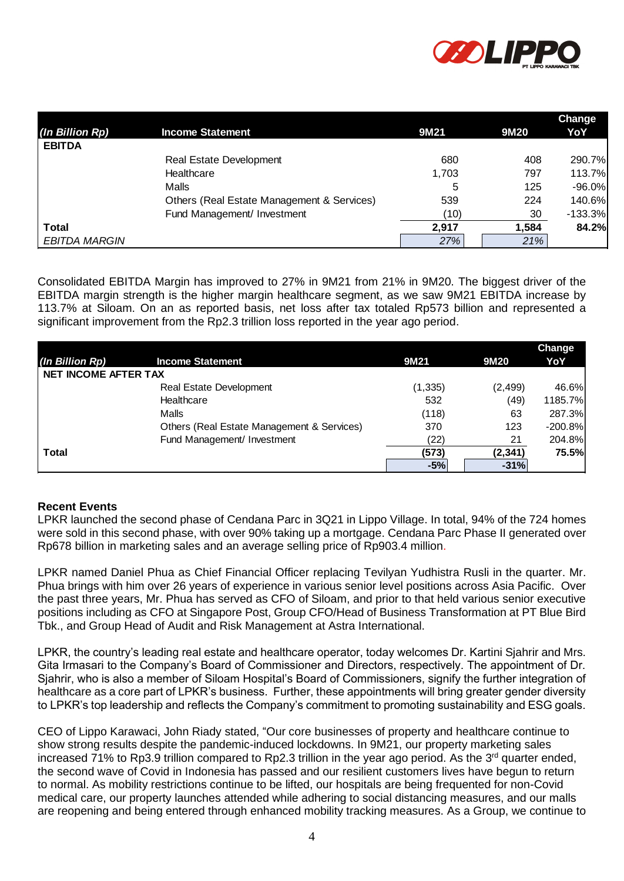

|                      |                                            |       |       | Change    |
|----------------------|--------------------------------------------|-------|-------|-----------|
| (In Billion Rp)      | <b>Income Statement</b>                    | 9M21  | 9M20  | YoY       |
| <b>EBITDA</b>        |                                            |       |       |           |
|                      | Real Estate Development                    | 680   | 408   | 290.7%    |
|                      | Healthcare                                 | 1,703 | 797   | 113.7%    |
|                      | Malls                                      | 5     | 125   | $-96.0\%$ |
|                      | Others (Real Estate Management & Services) | 539   | 224   | 140.6%    |
|                      | Fund Management/ Investment                | (10)  | 30    | $-133.3%$ |
| Total                |                                            | 2,917 | 1,584 | 84.2%     |
| <b>EBITDA MARGIN</b> |                                            | 27%   | 21%   |           |

| (In Billion Rp)             | <b>Income Statement</b>                                                                                                                                                                                                                                                                                                                                                                                                                                                                                                                                                                                                                                                                                                                                                                 | 9M21     | 9M20     | YoY           |
|-----------------------------|-----------------------------------------------------------------------------------------------------------------------------------------------------------------------------------------------------------------------------------------------------------------------------------------------------------------------------------------------------------------------------------------------------------------------------------------------------------------------------------------------------------------------------------------------------------------------------------------------------------------------------------------------------------------------------------------------------------------------------------------------------------------------------------------|----------|----------|---------------|
| <b>EBITDA</b>               |                                                                                                                                                                                                                                                                                                                                                                                                                                                                                                                                                                                                                                                                                                                                                                                         | 680      | 408      | 290           |
|                             | Real Estate Development<br>Healthcare                                                                                                                                                                                                                                                                                                                                                                                                                                                                                                                                                                                                                                                                                                                                                   | 1,703    | 797      | 113           |
|                             | Malls                                                                                                                                                                                                                                                                                                                                                                                                                                                                                                                                                                                                                                                                                                                                                                                   | 5        | 125      | $-96$         |
|                             | Others (Real Estate Management & Services)                                                                                                                                                                                                                                                                                                                                                                                                                                                                                                                                                                                                                                                                                                                                              | 539      | 224      | 140           |
|                             | Fund Management/ Investment                                                                                                                                                                                                                                                                                                                                                                                                                                                                                                                                                                                                                                                                                                                                                             | (10)     | 30       | $-133$        |
| <b>Total</b>                |                                                                                                                                                                                                                                                                                                                                                                                                                                                                                                                                                                                                                                                                                                                                                                                         | 2,917    | 1,584    | 84            |
| <b>EBITDA MARGIN</b>        |                                                                                                                                                                                                                                                                                                                                                                                                                                                                                                                                                                                                                                                                                                                                                                                         | 27%      | 21%      |               |
|                             |                                                                                                                                                                                                                                                                                                                                                                                                                                                                                                                                                                                                                                                                                                                                                                                         |          |          |               |
|                             | Consolidated EBITDA Margin has improved to 27% in 9M21 from 21% in 9M20. The biggest driver of the<br>EBITDA margin strength is the higher margin healthcare segment, as we saw 9M21 EBITDA increase by<br>113.7% at Siloam. On an as reported basis, net loss after tax totaled Rp573 billion and represented a<br>significant improvement from the Rp2.3 trillion loss reported in the year ago period.                                                                                                                                                                                                                                                                                                                                                                               |          |          |               |
| (In Billion Rp)             | <b>Income Statement</b>                                                                                                                                                                                                                                                                                                                                                                                                                                                                                                                                                                                                                                                                                                                                                                 | 9M21     | 9M20     | Change<br>YoY |
| <b>NET INCOME AFTER TAX</b> |                                                                                                                                                                                                                                                                                                                                                                                                                                                                                                                                                                                                                                                                                                                                                                                         |          |          |               |
|                             | Real Estate Development                                                                                                                                                                                                                                                                                                                                                                                                                                                                                                                                                                                                                                                                                                                                                                 | (1, 335) | (2, 499) | 46.6%         |
|                             | Healthcare                                                                                                                                                                                                                                                                                                                                                                                                                                                                                                                                                                                                                                                                                                                                                                              | 532      | (49)     | 1185.7%       |
|                             | Malls                                                                                                                                                                                                                                                                                                                                                                                                                                                                                                                                                                                                                                                                                                                                                                                   | (118)    | 63       | 287.3%        |
|                             | Others (Real Estate Management & Services)                                                                                                                                                                                                                                                                                                                                                                                                                                                                                                                                                                                                                                                                                                                                              | 370      | 123      | $-200.8%$     |
|                             | Fund Management/ Investment                                                                                                                                                                                                                                                                                                                                                                                                                                                                                                                                                                                                                                                                                                                                                             | (22)     | 21       | 204.8%        |
| <b>Total</b>                |                                                                                                                                                                                                                                                                                                                                                                                                                                                                                                                                                                                                                                                                                                                                                                                         | (573)    | (2, 341) | 75.5%         |
| <b>Recent Events</b>        |                                                                                                                                                                                                                                                                                                                                                                                                                                                                                                                                                                                                                                                                                                                                                                                         |          |          |               |
|                             | LPKR launched the second phase of Cendana Parc in 3Q21 in Lippo Village. In total, 94% of the 724 homes<br>were sold in this second phase, with over 90% taking up a mortgage. Cendana Parc Phase II generated over<br>Rp678 billion in marketing sales and an average selling price of Rp903.4 million.                                                                                                                                                                                                                                                                                                                                                                                                                                                                                |          |          |               |
|                             | LPKR named Daniel Phua as Chief Financial Officer replacing Tevilyan Yudhistra Rusli in the quarter. Mr.<br>Phua brings with him over 26 years of experience in various senior level positions across Asia Pacific. Over<br>the past three years, Mr. Phua has served as CFO of Siloam, and prior to that held various senior executive<br>positions including as CFO at Singapore Post, Group CFO/Head of Business Transformation at PT Blue Bird<br>Tbk., and Group Head of Audit and Risk Management at Astra International.                                                                                                                                                                                                                                                         |          |          |               |
|                             | LPKR, the country's leading real estate and healthcare operator, today welcomes Dr. Kartini Sjahrir and Mrs.<br>Gita Irmasari to the Company's Board of Commissioner and Directors, respectively. The appointment of Dr.<br>Sjahrir, who is also a member of Siloam Hospital's Board of Commissioners, signify the further integration of<br>healthcare as a core part of LPKR's business. Further, these appointments will bring greater gender diversity<br>to LPKR's top leadership and reflects the Company's commitment to promoting sustainability and ESG goals.                                                                                                                                                                                                                 |          |          |               |
|                             | CEO of Lippo Karawaci, John Riady stated, "Our core businesses of property and healthcare continue to<br>show strong results despite the pandemic-induced lockdowns. In 9M21, our property marketing sales<br>increased 71% to Rp3.9 trillion compared to Rp2.3 trillion in the year ago period. As the 3 <sup>rd</sup> quarter ended,<br>the second wave of Covid in Indonesia has passed and our resilient customers lives have begun to return<br>to normal. As mobility restrictions continue to be lifted, our hospitals are being frequented for non-Covid<br>medical care, our property launches attended while adhering to social distancing measures, and our malls<br>are reopening and being entered through enhanced mobility tracking measures. As a Group, we continue to |          |          |               |

# **Recent Events**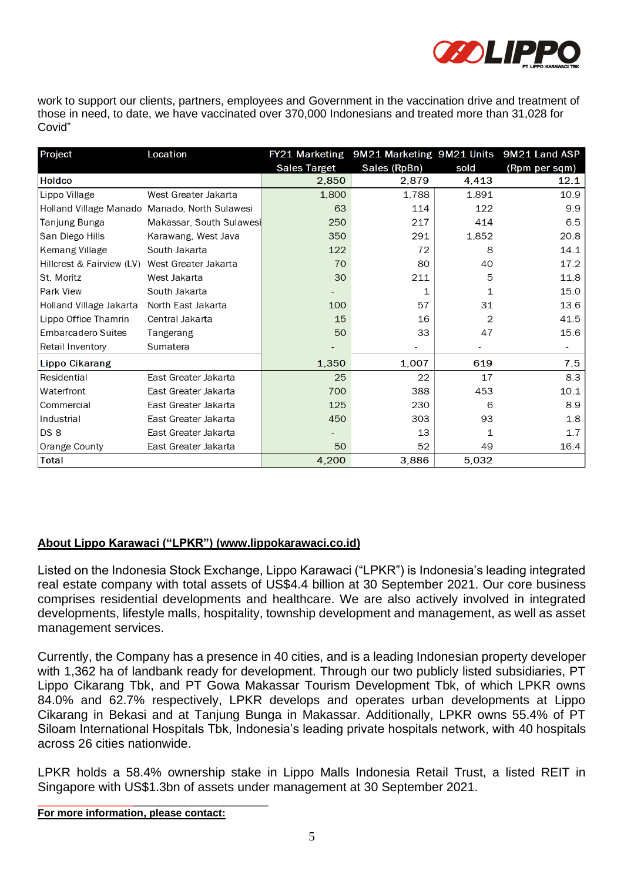

work to support our clients, partners, employees and Government in the vaccination drive and treatment of those in need, to date, we have vaccinated over 370,000 Indonesians and treated more than 31,028 for Covid"

| Project                                        | Location                                      |                     | FY21 Marketing 9M21 Marketing 9M21 Units 9M21 Land ASP |             |               |
|------------------------------------------------|-----------------------------------------------|---------------------|--------------------------------------------------------|-------------|---------------|
|                                                |                                               | <b>Sales Target</b> | Sales (RpBn)                                           | sold        | (Rpm per sqm) |
| <b>Holdco</b>                                  |                                               | 2.850               | 2.879                                                  | 4,413       | 12.1          |
| Lippo Village                                  | West Greater Jakarta                          | 1,800               | 1,788                                                  | 1,891       | 10.9          |
|                                                | Holland Village Manado Manado, North Sulawesi | 63                  | 114                                                    | 122         | 9.9           |
| Tanjung Bunga                                  | Makassar, South Sulawesi                      | 250                 | 217                                                    | 414         | 6.5           |
| San Diego Hills                                | Karawang, West Java                           | 350                 | 291                                                    | 1,852       | 20.8          |
| Kemang Village                                 | South Jakarta                                 | 122                 | 72                                                     | 8           | 14.1          |
| Hillcrest & Fairview (LV) West Greater Jakarta |                                               | 70                  | 80                                                     | 40          | 17.2          |
| St. Moritz                                     | West Jakarta                                  | 30                  | 211                                                    | 5           | 11.8          |
| Park View                                      | South Jakarta                                 |                     | 1                                                      | 1           | 15.0          |
| Holland Village Jakarta                        | North East Jakarta                            | 100                 | 57                                                     | 31          | 13.6          |
| Lippo Office Thamrin                           | Central Jakarta                               | 15                  | 16                                                     | 2           | 41.5          |
| Embarcadero Suites                             | Tangerang                                     | 50                  | 33                                                     | 47          | 15.6          |
| Retail Inventory                               | Sumatera                                      |                     |                                                        |             |               |
| <b>Lippo Cikarang</b>                          |                                               | 1,350               | 1,007                                                  | 619         | 7.5           |
| Residential                                    | East Greater Jakarta                          | 25                  | 22                                                     | 17          | 8.3           |
| Waterfront                                     | East Greater Jakarta                          | 700                 | 388                                                    | 453         | 10.1          |
| Commercial                                     | East Greater Jakarta                          | 125                 | 230                                                    | 6           | 8.9           |
| Industrial                                     | East Greater Jakarta                          | 450                 | 303                                                    | 93          | 1.8           |
| DS <sub>8</sub>                                | East Greater Jakarta                          |                     | 13                                                     | $\mathbf 1$ | 1.7           |
| Orange County                                  | East Greater Jakarta                          | 50                  | 52                                                     | 49          | 16.4          |
| Total                                          |                                               | 4,200               | 3,886                                                  | 5,032       |               |

# **About Lippo Karawaci ("LPKR") [\(www.lippokarawaci.co.id\)](http://www.lippokarawaci.co.id/)**

Listed on the Indonesia Stock Exchange, Lippo Karawaci ("LPKR") is Indonesia's leading integrated real estate company with total assets of US\$4.4 billion at 30 September 2021. Our core business comprises residential developments and healthcare. We are also actively involved in integrated developments, lifestyle malls, hospitality, township development and management, as well as asset management services.

Currently, the Company has a presence in 40 cities, and is a leading Indonesian property developer with 1,362 ha of landbank ready for development. Through our two publicly listed subsidiaries, PT Lippo Cikarang Tbk, and PT Gowa Makassar Tourism Development Tbk, of which LPKR owns 84.0% and 62.7% respectively, LPKR develops and operates urban developments at Lippo Cikarang in Bekasi and at Tanjung Bunga in Makassar. Additionally, LPKR owns 55.4% of PT Siloam International Hospitals Tbk, Indonesia's leading private hospitals network, with 40 hospitals across 26 cities nationwide.

LPKR holds a 58.4% ownership stake in Lippo Malls Indonesia Retail Trust, a listed REIT in Singapore with US\$1.3bn of assets under management at 30 September 2021.

**For more information, please contact:**

\_\_\_\_\_\_\_\_\_\_\_\_\_\_\_\_\_\_\_\_\_\_\_\_\_\_\_\_\_\_\_\_\_\_\_\_